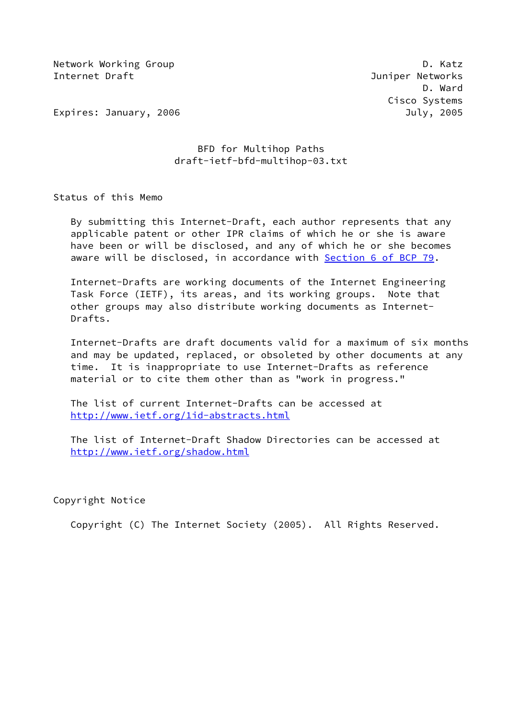Network Working Group **D. Ratz** Internet Draft Juniper Networks

 D. Ward Cisco Systems

Expires: January, 2006 July, 2005

# BFD for Multihop Paths draft-ietf-bfd-multihop-03.txt

Status of this Memo

 By submitting this Internet-Draft, each author represents that any applicable patent or other IPR claims of which he or she is aware have been or will be disclosed, and any of which he or she becomes aware will be disclosed, in accordance with Section [6 of BCP 79.](https://datatracker.ietf.org/doc/pdf/bcp79#section-6)

 Internet-Drafts are working documents of the Internet Engineering Task Force (IETF), its areas, and its working groups. Note that other groups may also distribute working documents as Internet- Drafts.

 Internet-Drafts are draft documents valid for a maximum of six months and may be updated, replaced, or obsoleted by other documents at any time. It is inappropriate to use Internet-Drafts as reference material or to cite them other than as "work in progress."

 The list of current Internet-Drafts can be accessed at <http://www.ietf.org/1id-abstracts.html>

 The list of Internet-Draft Shadow Directories can be accessed at <http://www.ietf.org/shadow.html>

Copyright Notice

Copyright (C) The Internet Society (2005). All Rights Reserved.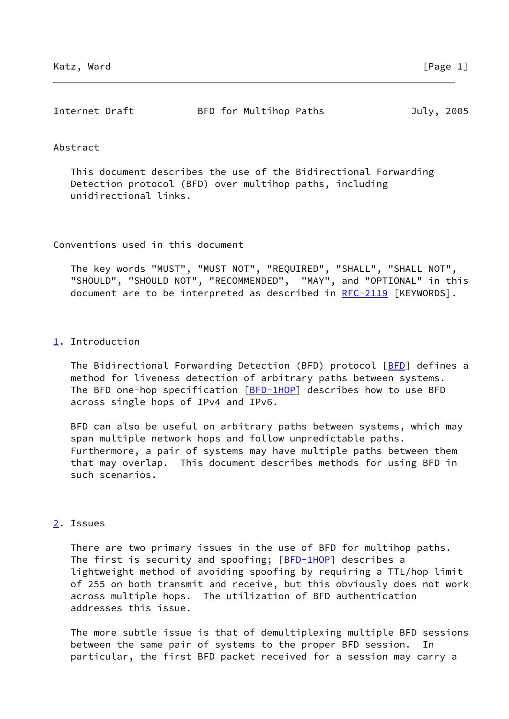| Internet Draft | BFD for Multihop Paths | July, 2005 |
|----------------|------------------------|------------|
|                |                        |            |

### Abstract

 This document describes the use of the Bidirectional Forwarding Detection protocol (BFD) over multihop paths, including unidirectional links.

Conventions used in this document

 The key words "MUST", "MUST NOT", "REQUIRED", "SHALL", "SHALL NOT", "SHOULD", "SHOULD NOT", "RECOMMENDED", "MAY", and "OPTIONAL" in this document are to be interpreted as described in [RFC-2119](https://datatracker.ietf.org/doc/pdf/rfc2119) [KEYWORDS].

### <span id="page-1-0"></span>[1](#page-1-0). Introduction

The Bidirectional Forwarding Detection ([BFD](#page-4-0)) protocol [BFD] defines a method for liveness detection of arbitrary paths between systems. The BFD one-hop specification [[BFD-1HOP\]](#page-2-0) describes how to use BFD across single hops of IPv4 and IPv6.

 BFD can also be useful on arbitrary paths between systems, which may span multiple network hops and follow unpredictable paths. Furthermore, a pair of systems may have multiple paths between them that may overlap. This document describes methods for using BFD in such scenarios.

### <span id="page-1-1"></span>[2](#page-1-1). Issues

 There are two primary issues in the use of BFD for multihop paths. The first is security and spoofing; [\[BFD-1HOP](#page-2-0)] describes a lightweight method of avoiding spoofing by requiring a TTL/hop limit of 255 on both transmit and receive, but this obviously does not work across multiple hops. The utilization of BFD authentication addresses this issue.

 The more subtle issue is that of demultiplexing multiple BFD sessions between the same pair of systems to the proper BFD session. particular, the first BFD packet received for a session may carry a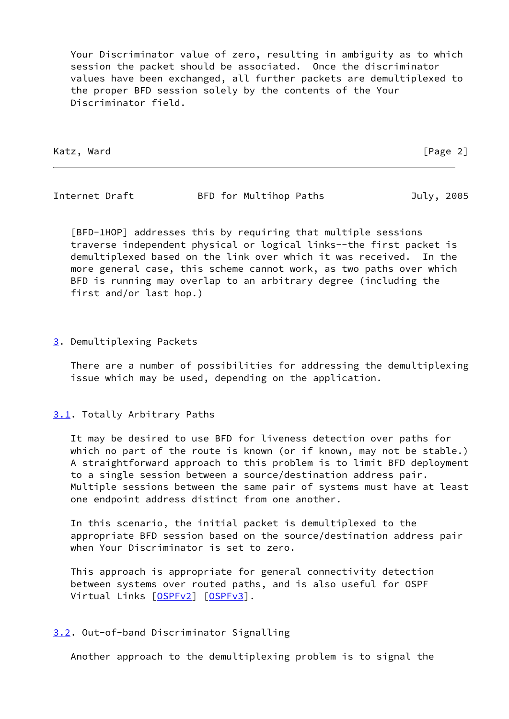Your Discriminator value of zero, resulting in ambiguity as to which session the packet should be associated. Once the discriminator values have been exchanged, all further packets are demultiplexed to the proper BFD session solely by the contents of the Your Discriminator field.

Katz, Ward [Page 2]

Internet Draft BFD for Multihop Paths July, 2005

<span id="page-2-0"></span> [BFD-1HOP] addresses this by requiring that multiple sessions traverse independent physical or logical links--the first packet is demultiplexed based on the link over which it was received. In the more general case, this scheme cannot work, as two paths over which BFD is running may overlap to an arbitrary degree (including the first and/or last hop.)

### <span id="page-2-1"></span>[3](#page-2-1). Demultiplexing Packets

 There are a number of possibilities for addressing the demultiplexing issue which may be used, depending on the application.

### <span id="page-2-2"></span>[3.1](#page-2-2). Totally Arbitrary Paths

 It may be desired to use BFD for liveness detection over paths for which no part of the route is known (or if known, may not be stable.) A straightforward approach to this problem is to limit BFD deployment to a single session between a source/destination address pair. Multiple sessions between the same pair of systems must have at least one endpoint address distinct from one another.

 In this scenario, the initial packet is demultiplexed to the appropriate BFD session based on the source/destination address pair when Your Discriminator is set to zero.

 This approach is appropriate for general connectivity detection between systems over routed paths, and is also useful for OSPF Virtual Links [[OSPFv2](#page-5-0)] [\[OSPFv3](#page-5-1)].

### <span id="page-2-3"></span>[3.2](#page-2-3). Out-of-band Discriminator Signalling

Another approach to the demultiplexing problem is to signal the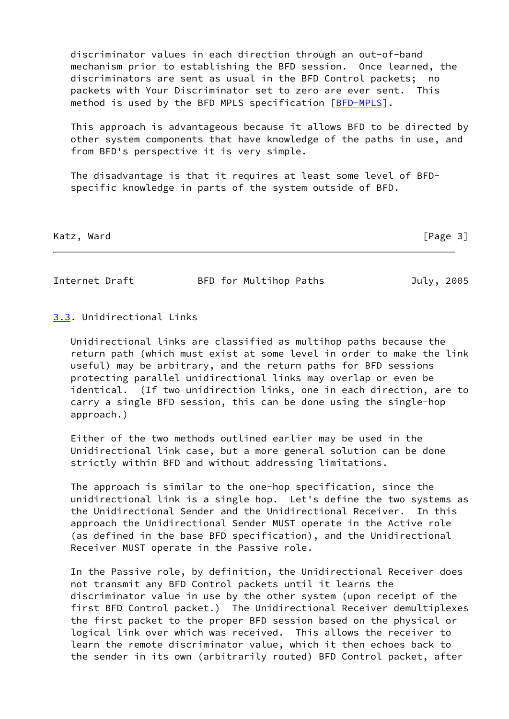discriminator values in each direction through an out-of-band mechanism prior to establishing the BFD session. Once learned, the discriminators are sent as usual in the BFD Control packets; no packets with Your Discriminator set to zero are ever sent. This method is used by the BFD MPLS specification [\[BFD-MPLS](#page-4-1)].

 This approach is advantageous because it allows BFD to be directed by other system components that have knowledge of the paths in use, and from BFD's perspective it is very simple.

 The disadvantage is that it requires at least some level of BFD specific knowledge in parts of the system outside of BFD.

Katz, Ward [Page 3]

Internet Draft BFD for Multihop Paths July, 2005

### <span id="page-3-0"></span>[3.3](#page-3-0). Unidirectional Links

 Unidirectional links are classified as multihop paths because the return path (which must exist at some level in order to make the link useful) may be arbitrary, and the return paths for BFD sessions protecting parallel unidirectional links may overlap or even be identical. (If two unidirection links, one in each direction, are to carry a single BFD session, this can be done using the single-hop approach.)

 Either of the two methods outlined earlier may be used in the Unidirectional link case, but a more general solution can be done strictly within BFD and without addressing limitations.

 The approach is similar to the one-hop specification, since the unidirectional link is a single hop. Let's define the two systems as the Unidirectional Sender and the Unidirectional Receiver. In this approach the Unidirectional Sender MUST operate in the Active role (as defined in the base BFD specification), and the Unidirectional Receiver MUST operate in the Passive role.

 In the Passive role, by definition, the Unidirectional Receiver does not transmit any BFD Control packets until it learns the discriminator value in use by the other system (upon receipt of the first BFD Control packet.) The Unidirectional Receiver demultiplexes the first packet to the proper BFD session based on the physical or logical link over which was received. This allows the receiver to learn the remote discriminator value, which it then echoes back to the sender in its own (arbitrarily routed) BFD Control packet, after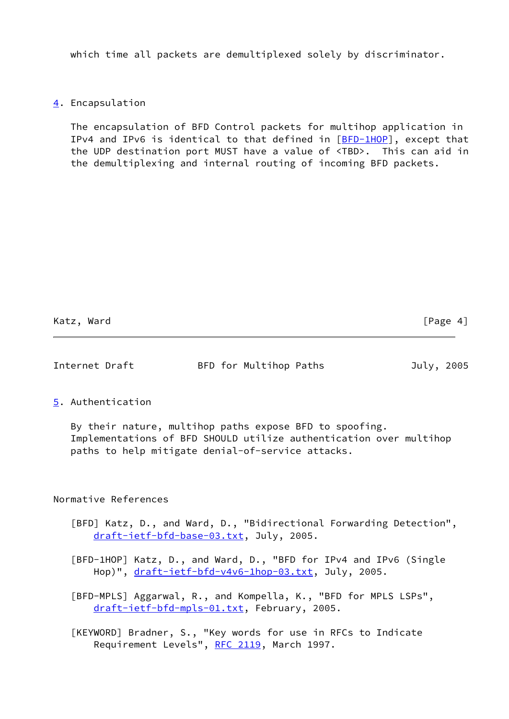which time all packets are demultiplexed solely by discriminator.

# <span id="page-4-2"></span>[4](#page-4-2). Encapsulation

 The encapsulation of BFD Control packets for multihop application in IPv4 and IPv6 is identical to that defined in  $[BFD-1HOP]$  $[BFD-1HOP]$ , except that the UDP destination port MUST have a value of <TBD>. This can aid in the demultiplexing and internal routing of incoming BFD packets.

Katz, Ward [Page 4]

# Internet Draft BFD for Multihop Paths July, 2005

### <span id="page-4-3"></span>[5](#page-4-3). Authentication

 By their nature, multihop paths expose BFD to spoofing. Implementations of BFD SHOULD utilize authentication over multihop paths to help mitigate denial-of-service attacks.

## Normative References

- <span id="page-4-0"></span> [BFD] Katz, D., and Ward, D., "Bidirectional Forwarding Detection", [draft-ietf-bfd-base-03.txt,](https://datatracker.ietf.org/doc/pdf/draft-ietf-bfd-base-03.txt) July, 2005.
- [BFD-1HOP] Katz, D., and Ward, D., "BFD for IPv4 and IPv6 (Single Hop)", [draft-ietf-bfd-v4v6-1hop-03.txt](https://datatracker.ietf.org/doc/pdf/draft-ietf-bfd-v4v6-1hop-03.txt), July, 2005.
- <span id="page-4-1"></span> [BFD-MPLS] Aggarwal, R., and Kompella, K., "BFD for MPLS LSPs", [draft-ietf-bfd-mpls-01.txt,](https://datatracker.ietf.org/doc/pdf/draft-ietf-bfd-mpls-01.txt) February, 2005.
- [KEYWORD] Bradner, S., "Key words for use in RFCs to Indicate Requirement Levels", [RFC 2119](https://datatracker.ietf.org/doc/pdf/rfc2119), March 1997.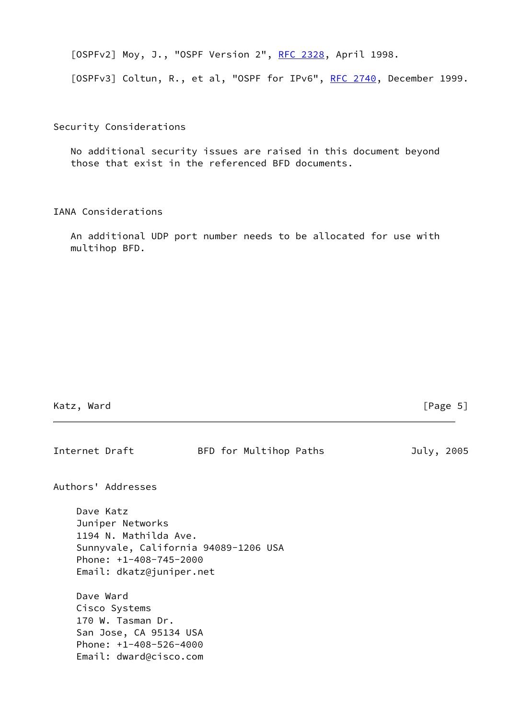<span id="page-5-0"></span>[OSPFv2] Moy, J., "OSPF Version 2", [RFC 2328,](https://datatracker.ietf.org/doc/pdf/rfc2328) April 1998.

<span id="page-5-1"></span>[OSPFv3] Coltun, R., et al, "OSPF for IPv6", [RFC 2740](https://datatracker.ietf.org/doc/pdf/rfc2740), December 1999.

Security Considerations

 No additional security issues are raised in this document beyond those that exist in the referenced BFD documents.

IANA Considerations

 An additional UDP port number needs to be allocated for use with multihop BFD.

| Ward<br>Katz, |
|---------------|
|---------------|

# $[Page 5]$

| Internet Draft |                                                                                                                                           | BFD for Multihop Paths | July, 2005 |  |
|----------------|-------------------------------------------------------------------------------------------------------------------------------------------|------------------------|------------|--|
|                | Authors' Addresses                                                                                                                        |                        |            |  |
| Dave Katz      | Juniper Networks<br>1194 N. Mathilda Ave.<br>Sunnyvale, California 94089-1206 USA<br>Phone: $+1-408-745-2000$<br>Email: dkatz@juniper.net |                        |            |  |
| Dave Ward      | Cisco Systems<br>170 W. Tasman Dr.<br>San Jose, CA 95134 USA<br>Phone: +1-408-526-4000<br>Email: dward@cisco.com                          |                        |            |  |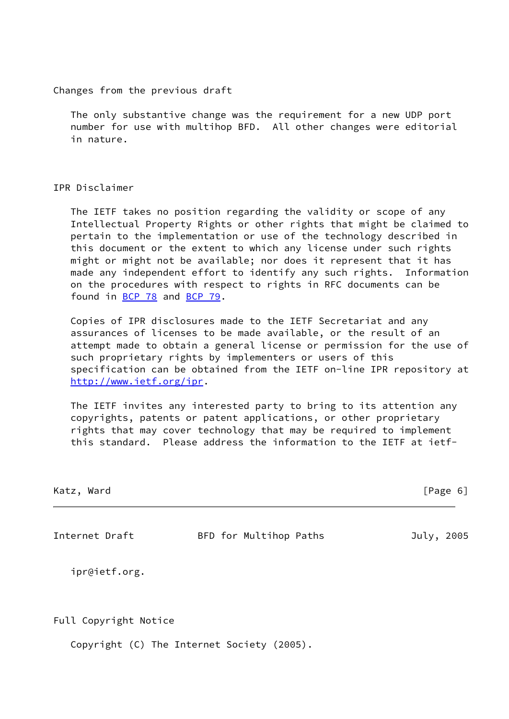Changes from the previous draft

 The only substantive change was the requirement for a new UDP port number for use with multihop BFD. All other changes were editorial in nature.

#### IPR Disclaimer

 The IETF takes no position regarding the validity or scope of any Intellectual Property Rights or other rights that might be claimed to pertain to the implementation or use of the technology described in this document or the extent to which any license under such rights might or might not be available; nor does it represent that it has made any independent effort to identify any such rights. Information on the procedures with respect to rights in RFC documents can be found in [BCP 78](https://datatracker.ietf.org/doc/pdf/bcp78) and [BCP 79](https://datatracker.ietf.org/doc/pdf/bcp79).

 Copies of IPR disclosures made to the IETF Secretariat and any assurances of licenses to be made available, or the result of an attempt made to obtain a general license or permission for the use of such proprietary rights by implementers or users of this specification can be obtained from the IETF on-line IPR repository at <http://www.ietf.org/ipr>.

 The IETF invites any interested party to bring to its attention any copyrights, patents or patent applications, or other proprietary rights that may cover technology that may be required to implement this standard. Please address the information to the IETF at ietf-

| Katz, Ward | [Page 6] |
|------------|----------|
|            |          |

Internet Draft BFD for Multihop Paths July, 2005

ipr@ietf.org.

Full Copyright Notice

Copyright (C) The Internet Society (2005).